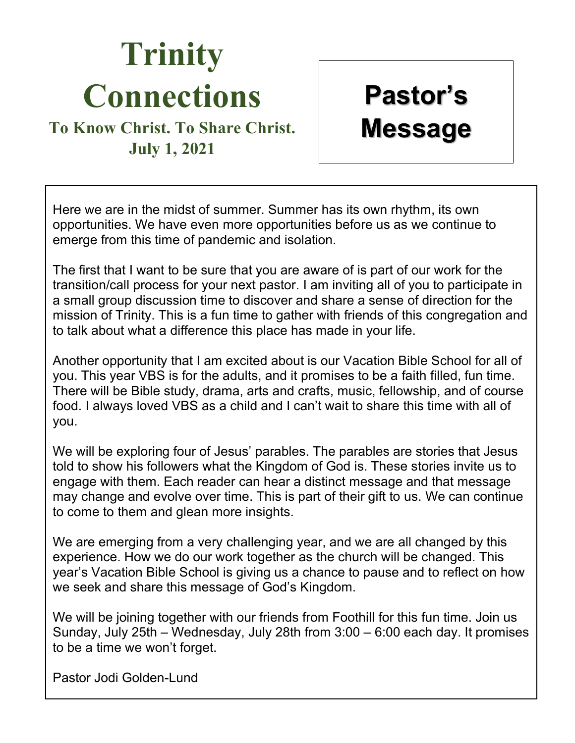# **Trinity Connections**

## **To Know Christ. To Share Christ. July 1, 2021**

**Pastor's Message** 

Here we are in the midst of summer. Summer has its own rhythm, its own opportunities. We have even more opportunities before us as we continue to emerge from this time of pandemic and isolation.

The first that I want to be sure that you are aware of is part of our work for the transition/call process for your next pastor. I am inviting all of you to participate in a small group discussion time to discover and share a sense of direction for the mission of Trinity. This is a fun time to gather with friends of this congregation and to talk about what a difference this place has made in your life.

Another opportunity that I am excited about is our Vacation Bible School for all of you. This year VBS is for the adults, and it promises to be a faith filled, fun time. There will be Bible study, drama, arts and crafts, music, fellowship, and of course food. I always loved VBS as a child and I can't wait to share this time with all of you.

We will be exploring four of Jesus' parables. The parables are stories that Jesus told to show his followers what the Kingdom of God is. These stories invite us to engage with them. Each reader can hear a distinct message and that message may change and evolve over time. This is part of their gift to us. We can continue to come to them and glean more insights.

We are emerging from a very challenging year, and we are all changed by this experience. How we do our work together as the church will be changed. This year's Vacation Bible School is giving us a chance to pause and to reflect on how we seek and share this message of God's Kingdom.

We will be joining together with our friends from Foothill for this fun time. Join us Sunday, July 25th – Wednesday, July 28th from 3:00 – 6:00 each day. It promises to be a time we won't forget.

Pastor Jodi Golden-Lund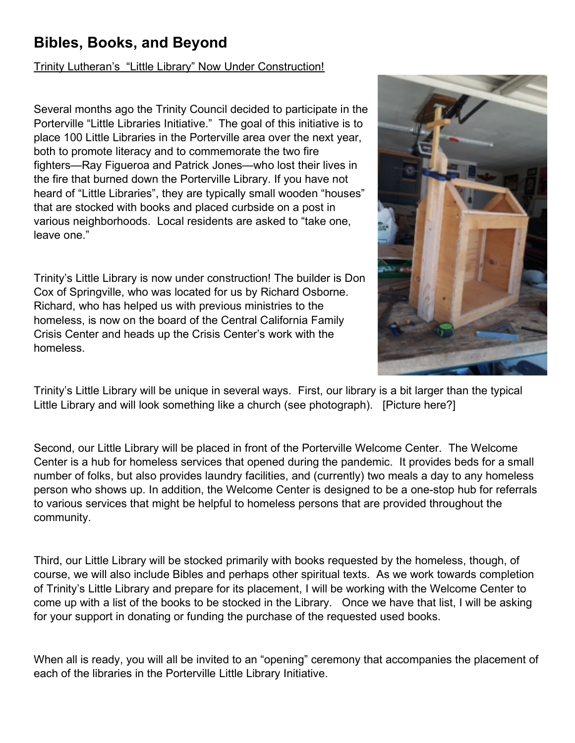### **Bibles, Books, and Beyond**

#### Trinity Lutheran's "Little Library" Now Under Construction!

Several months ago the Trinity Council decided to participate in the Porterville "Little Libraries Initiative." The goal of this initiative is to place 100 Little Libraries in the Porterville area over the next year, both to promote literacy and to commemorate the two fire fighters—Ray Figueroa and Patrick Jones—who lost their lives in the fire that burned down the Porterville Library. If you have not heard of "Little Libraries", they are typically small wooden "houses" that are stocked with books and placed curbside on a post in various neighborhoods. Local residents are asked to "take one, leave one."

Trinity's Little Library is now under construction! The builder is Don Cox of Springville, who was located for us by Richard Osborne. Richard, who has helped us with previous ministries to the homeless, is now on the board of the Central California Family Crisis Center and heads up the Crisis Center's work with the homeless.



Trinity's Little Library will be unique in several ways. First, our library is a bit larger than the typical Little Library and will look something like a church (see photograph). [Picture here?]

Second, our Little Library will be placed in front of the Porterville Welcome Center. The Welcome Center is a hub for homeless services that opened during the pandemic. It provides beds for a small number of folks, but also provides laundry facilities, and (currently) two meals a day to any homeless person who shows up. In addition, the Welcome Center is designed to be a one-stop hub for referrals to various services that might be helpful to homeless persons that are provided throughout the community.

Third, our Little Library will be stocked primarily with books requested by the homeless, though, of course, we will also include Bibles and perhaps other spiritual texts. As we work towards completion of Trinity's Little Library and prepare for its placement, I will be working with the Welcome Center to come up with a list of the books to be stocked in the Library. Once we have that list, I will be asking for your support in donating or funding the purchase of the requested used books.

When all is ready, you will all be invited to an "opening" ceremony that accompanies the placement of each of the libraries in the Porterville Little Library Initiative.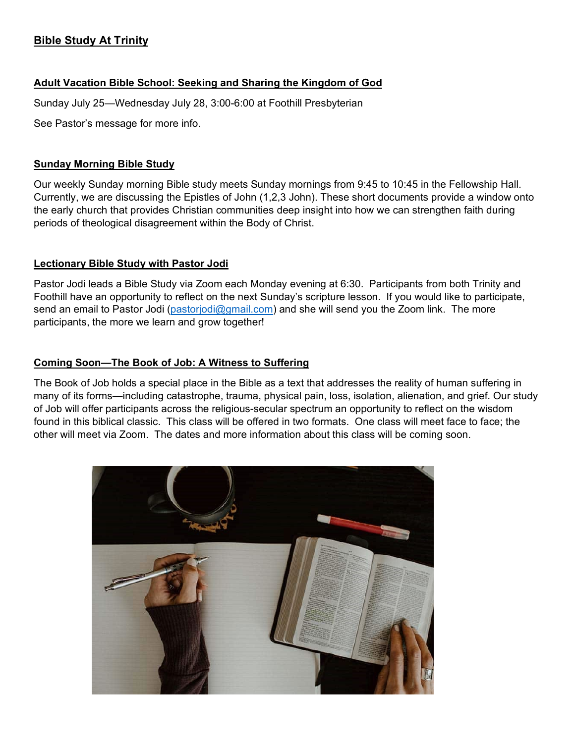#### **Bible Study At Trinity**

#### **Adult Vacation Bible School: Seeking and Sharing the Kingdom of God**

Sunday July 25—Wednesday July 28, 3:00-6:00 at Foothill Presbyterian

See Pastor's message for more info.

#### **Sunday Morning Bible Study**

Our weekly Sunday morning Bible study meets Sunday mornings from 9:45 to 10:45 in the Fellowship Hall. Currently, we are discussing the Epistles of John (1,2,3 John). These short documents provide a window onto the early church that provides Christian communities deep insight into how we can strengthen faith during periods of theological disagreement within the Body of Christ.

#### **Lectionary Bible Study with Pastor Jodi**

Pastor Jodi leads a Bible Study via Zoom each Monday evening at 6:30. Participants from both Trinity and Foothill have an opportunity to reflect on the next Sunday's scripture lesson. If you would like to participate, send an email to Pastor Jodi [\(pastorjodi@gmail.com\)](mailto:pastorjodi@gmail.com) and she will send you the Zoom link. The more participants, the more we learn and grow together!

#### **Coming Soon—The Book of Job: A Witness to Suffering**

The Book of Job holds a special place in the Bible as a text that addresses the reality of human suffering in many of its forms—including catastrophe, trauma, physical pain, loss, isolation, alienation, and grief. Our study of Job will offer participants across the religious-secular spectrum an opportunity to reflect on the wisdom found in this biblical classic. This class will be offered in two formats. One class will meet face to face; the other will meet via Zoom. The dates and more information about this class will be coming soon.